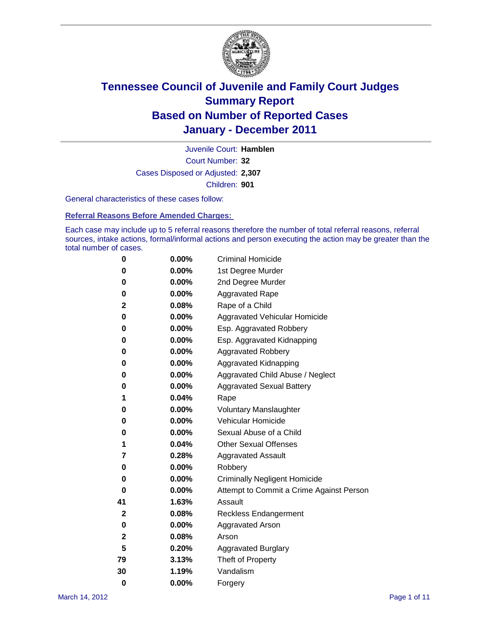

Court Number: **32** Juvenile Court: **Hamblen** Cases Disposed or Adjusted: **2,307** Children: **901**

General characteristics of these cases follow:

**Referral Reasons Before Amended Charges:** 

Each case may include up to 5 referral reasons therefore the number of total referral reasons, referral sources, intake actions, formal/informal actions and person executing the action may be greater than the total number of cases.

| 0  | 0.00%    | <b>Criminal Homicide</b>                 |
|----|----------|------------------------------------------|
| 0  | 0.00%    | 1st Degree Murder                        |
| 0  | 0.00%    | 2nd Degree Murder                        |
| 0  | 0.00%    | <b>Aggravated Rape</b>                   |
| 2  | 0.08%    | Rape of a Child                          |
| 0  | 0.00%    | Aggravated Vehicular Homicide            |
| 0  | 0.00%    | Esp. Aggravated Robbery                  |
| 0  | 0.00%    | Esp. Aggravated Kidnapping               |
| 0  | 0.00%    | <b>Aggravated Robbery</b>                |
| 0  | 0.00%    | Aggravated Kidnapping                    |
| 0  | 0.00%    | Aggravated Child Abuse / Neglect         |
| 0  | $0.00\%$ | <b>Aggravated Sexual Battery</b>         |
| 1  | 0.04%    | Rape                                     |
| 0  | $0.00\%$ | <b>Voluntary Manslaughter</b>            |
| 0  | 0.00%    | Vehicular Homicide                       |
| 0  | 0.00%    | Sexual Abuse of a Child                  |
| 1  | 0.04%    | <b>Other Sexual Offenses</b>             |
| 7  | 0.28%    | <b>Aggravated Assault</b>                |
| 0  | $0.00\%$ | Robbery                                  |
| 0  | 0.00%    | <b>Criminally Negligent Homicide</b>     |
| 0  | 0.00%    | Attempt to Commit a Crime Against Person |
| 41 | 1.63%    | Assault                                  |
| 2  | 0.08%    | <b>Reckless Endangerment</b>             |
| 0  | 0.00%    | <b>Aggravated Arson</b>                  |
| 2  | 0.08%    | Arson                                    |
| 5  | 0.20%    | <b>Aggravated Burglary</b>               |
| 79 | 3.13%    | Theft of Property                        |
| 30 | 1.19%    | Vandalism                                |
| 0  | 0.00%    | Forgery                                  |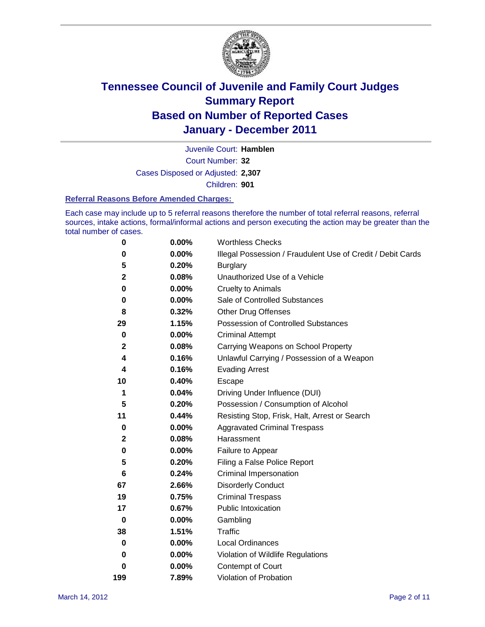

Court Number: **32** Juvenile Court: **Hamblen** Cases Disposed or Adjusted: **2,307** Children: **901**

#### **Referral Reasons Before Amended Charges:**

Each case may include up to 5 referral reasons therefore the number of total referral reasons, referral sources, intake actions, formal/informal actions and person executing the action may be greater than the total number of cases.

| $\pmb{0}$    | 0.00%    | <b>Worthless Checks</b>                                     |
|--------------|----------|-------------------------------------------------------------|
| 0            | 0.00%    | Illegal Possession / Fraudulent Use of Credit / Debit Cards |
| 5            | 0.20%    | <b>Burglary</b>                                             |
| $\mathbf{2}$ | 0.08%    | Unauthorized Use of a Vehicle                               |
| 0            | $0.00\%$ | <b>Cruelty to Animals</b>                                   |
| 0            | $0.00\%$ | Sale of Controlled Substances                               |
| 8            | 0.32%    | <b>Other Drug Offenses</b>                                  |
| 29           | 1.15%    | Possession of Controlled Substances                         |
| $\mathbf 0$  | $0.00\%$ | <b>Criminal Attempt</b>                                     |
| $\mathbf 2$  | 0.08%    | Carrying Weapons on School Property                         |
| 4            | 0.16%    | Unlawful Carrying / Possession of a Weapon                  |
| 4            | 0.16%    | <b>Evading Arrest</b>                                       |
| 10           | 0.40%    | Escape                                                      |
| 1            | 0.04%    | Driving Under Influence (DUI)                               |
| 5            | 0.20%    | Possession / Consumption of Alcohol                         |
| 11           | 0.44%    | Resisting Stop, Frisk, Halt, Arrest or Search               |
| $\mathbf 0$  | $0.00\%$ | <b>Aggravated Criminal Trespass</b>                         |
| 2            | 0.08%    | Harassment                                                  |
| 0            | 0.00%    | Failure to Appear                                           |
| 5            | 0.20%    | Filing a False Police Report                                |
| 6            | 0.24%    | Criminal Impersonation                                      |
| 67           | 2.66%    | <b>Disorderly Conduct</b>                                   |
| 19           | 0.75%    | <b>Criminal Trespass</b>                                    |
| 17           | 0.67%    | <b>Public Intoxication</b>                                  |
| $\mathbf 0$  | $0.00\%$ | Gambling                                                    |
| 38           | 1.51%    | <b>Traffic</b>                                              |
| 0            | $0.00\%$ | <b>Local Ordinances</b>                                     |
| 0            | $0.00\%$ | Violation of Wildlife Regulations                           |
| 0            | $0.00\%$ | Contempt of Court                                           |
| 199          | 7.89%    | Violation of Probation                                      |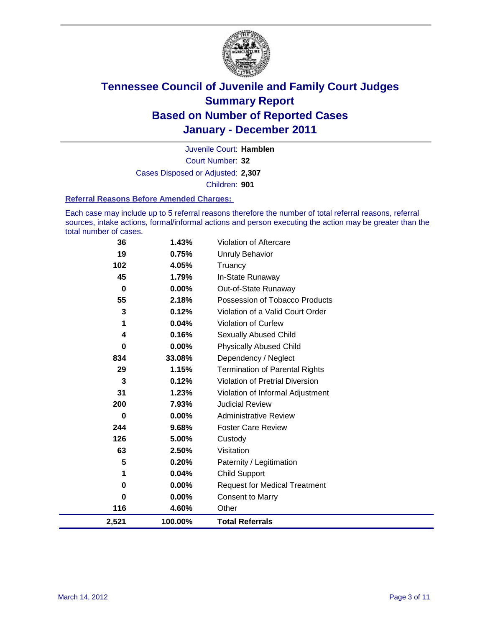

Court Number: **32** Juvenile Court: **Hamblen** Cases Disposed or Adjusted: **2,307** Children: **901**

#### **Referral Reasons Before Amended Charges:**

Each case may include up to 5 referral reasons therefore the number of total referral reasons, referral sources, intake actions, formal/informal actions and person executing the action may be greater than the total number of cases.

| 36    | 1.43%    | Violation of Aftercare                 |
|-------|----------|----------------------------------------|
| 19    | 0.75%    | <b>Unruly Behavior</b>                 |
| 102   | 4.05%    | Truancy                                |
| 45    | 1.79%    | In-State Runaway                       |
| 0     | $0.00\%$ | Out-of-State Runaway                   |
| 55    | 2.18%    | Possession of Tobacco Products         |
| 3     | 0.12%    | Violation of a Valid Court Order       |
| 1     | 0.04%    | <b>Violation of Curfew</b>             |
| 4     | 0.16%    | Sexually Abused Child                  |
| 0     | 0.00%    | <b>Physically Abused Child</b>         |
| 834   | 33.08%   | Dependency / Neglect                   |
| 29    | 1.15%    | <b>Termination of Parental Rights</b>  |
| 3     | 0.12%    | <b>Violation of Pretrial Diversion</b> |
| 31    | 1.23%    | Violation of Informal Adjustment       |
| 200   | 7.93%    | <b>Judicial Review</b>                 |
| 0     | $0.00\%$ | <b>Administrative Review</b>           |
| 244   | 9.68%    | <b>Foster Care Review</b>              |
| 126   | 5.00%    | Custody                                |
| 63    | 2.50%    | Visitation                             |
| 5     | 0.20%    | Paternity / Legitimation               |
| 1     | 0.04%    | <b>Child Support</b>                   |
| 0     | $0.00\%$ | <b>Request for Medical Treatment</b>   |
| 0     | $0.00\%$ | <b>Consent to Marry</b>                |
| 116   | 4.60%    | Other                                  |
| 2,521 | 100.00%  | <b>Total Referrals</b>                 |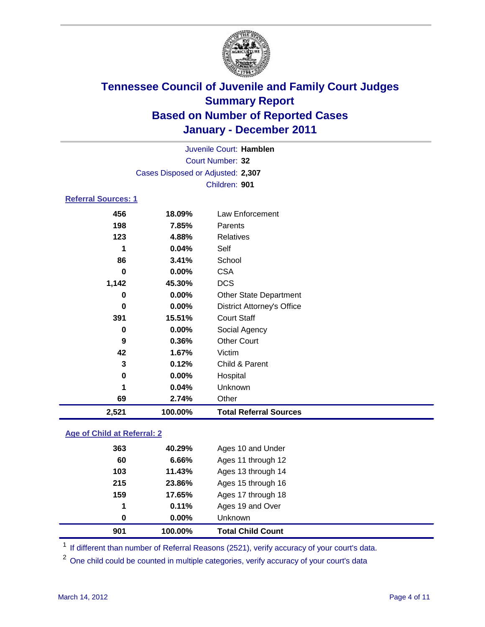

| 2,521                      | 100.00%                           | <b>Total Referral Sources</b>     |  |  |
|----------------------------|-----------------------------------|-----------------------------------|--|--|
| 69                         | 2.74%                             | Other                             |  |  |
| 1                          | 0.04%                             | Unknown                           |  |  |
| 0                          | 0.00%                             | Hospital                          |  |  |
| 3                          | 0.12%                             | Child & Parent                    |  |  |
| 42                         | 1.67%                             | Victim                            |  |  |
| 9                          | 0.36%                             | <b>Other Court</b>                |  |  |
| 0                          | 0.00%                             | Social Agency                     |  |  |
| 391                        | 15.51%                            | <b>Court Staff</b>                |  |  |
| $\bf{0}$                   | 0.00%                             | <b>District Attorney's Office</b> |  |  |
| 0                          | 0.00%                             | <b>Other State Department</b>     |  |  |
| 1,142                      | 45.30%                            | <b>DCS</b>                        |  |  |
| 0                          | 0.00%                             | <b>CSA</b>                        |  |  |
| 86                         | 3.41%                             | School                            |  |  |
| 1                          | 0.04%                             | Self                              |  |  |
| 123                        | 4.88%                             | <b>Relatives</b>                  |  |  |
| 198                        | 7.85%                             | Parents                           |  |  |
| 456                        | 18.09%                            | Law Enforcement                   |  |  |
| <b>Referral Sources: 1</b> |                                   |                                   |  |  |
|                            |                                   | Children: 901                     |  |  |
|                            | Cases Disposed or Adjusted: 2,307 |                                   |  |  |
|                            |                                   |                                   |  |  |
|                            | Court Number: 32                  |                                   |  |  |
|                            | Juvenile Court: Hamblen           |                                   |  |  |

### **Age of Child at Referral: 2**

| 0.00%  | Unknown            |
|--------|--------------------|
| 0.11%  | Ages 19 and Over   |
| 17.65% | Ages 17 through 18 |
| 23.86% | Ages 15 through 16 |
| 11.43% | Ages 13 through 14 |
| 6.66%  | Ages 11 through 12 |
| 40.29% | Ages 10 and Under  |
|        |                    |

<sup>1</sup> If different than number of Referral Reasons (2521), verify accuracy of your court's data.

<sup>2</sup> One child could be counted in multiple categories, verify accuracy of your court's data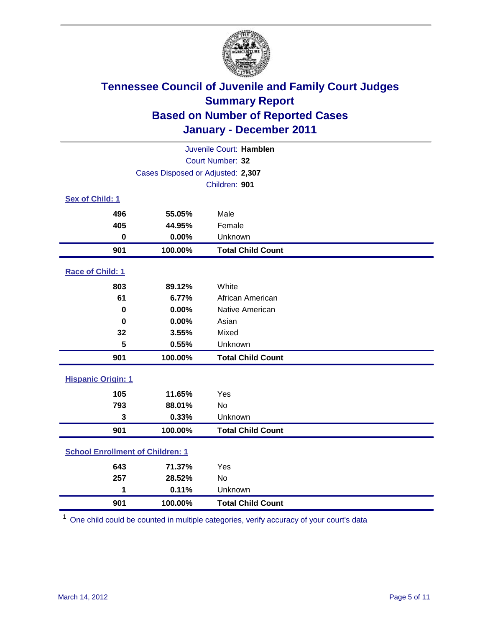

| Juvenile Court: Hamblen                 |                                   |                          |  |
|-----------------------------------------|-----------------------------------|--------------------------|--|
|                                         | Court Number: 32                  |                          |  |
|                                         | Cases Disposed or Adjusted: 2,307 |                          |  |
|                                         |                                   | Children: 901            |  |
| Sex of Child: 1                         |                                   |                          |  |
| 496                                     | 55.05%                            | Male                     |  |
| 405                                     | 44.95%                            | Female                   |  |
| $\mathbf 0$                             | 0.00%                             | Unknown                  |  |
| 901                                     | 100.00%                           | <b>Total Child Count</b> |  |
| Race of Child: 1                        |                                   |                          |  |
| 803                                     | 89.12%                            | White                    |  |
| 61                                      | 6.77%                             | African American         |  |
| $\mathbf 0$                             | 0.00%                             | Native American          |  |
| $\bf{0}$                                | 0.00%                             | Asian                    |  |
| 32                                      | 3.55%                             | Mixed                    |  |
| 5                                       | 0.55%                             | Unknown                  |  |
| 901                                     | 100.00%                           | <b>Total Child Count</b> |  |
| <b>Hispanic Origin: 1</b>               |                                   |                          |  |
| 105                                     | 11.65%                            | Yes                      |  |
| 793                                     | 88.01%                            | <b>No</b>                |  |
| 3                                       | 0.33%                             | Unknown                  |  |
| 901                                     | 100.00%                           | <b>Total Child Count</b> |  |
| <b>School Enrollment of Children: 1</b> |                                   |                          |  |
| 643                                     | 71.37%                            | Yes                      |  |
| 257                                     | 28.52%                            | No                       |  |
| 1                                       | 0.11%                             | Unknown                  |  |
| 901                                     | 100.00%                           | <b>Total Child Count</b> |  |

One child could be counted in multiple categories, verify accuracy of your court's data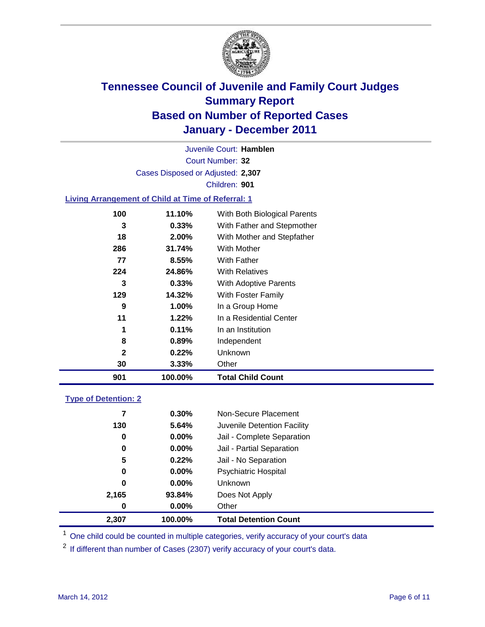

Court Number: **32** Juvenile Court: **Hamblen** Cases Disposed or Adjusted: **2,307** Children: **901**

### **Living Arrangement of Child at Time of Referral: 1**

| 901 | 100.00% | <b>Total Child Count</b>     |
|-----|---------|------------------------------|
| 30  | 3.33%   | Other                        |
| 2   | 0.22%   | Unknown                      |
| 8   | 0.89%   | Independent                  |
| 1   | 0.11%   | In an Institution            |
| 11  | 1.22%   | In a Residential Center      |
| 9   | 1.00%   | In a Group Home              |
| 129 | 14.32%  | With Foster Family           |
| 3   | 0.33%   | With Adoptive Parents        |
| 224 | 24.86%  | <b>With Relatives</b>        |
| 77  | 8.55%   | <b>With Father</b>           |
| 286 | 31.74%  | <b>With Mother</b>           |
| 18  | 2.00%   | With Mother and Stepfather   |
| 3   | 0.33%   | With Father and Stepmother   |
| 100 | 11.10%  | With Both Biological Parents |
|     |         |                              |

### **Type of Detention: 2**

| 2,307 | 100.00%  | <b>Total Detention Count</b> |  |
|-------|----------|------------------------------|--|
| 0     | $0.00\%$ | Other                        |  |
| 2,165 | 93.84%   | Does Not Apply               |  |
| 0     | $0.00\%$ | Unknown                      |  |
| 0     | $0.00\%$ | <b>Psychiatric Hospital</b>  |  |
| 5     | 0.22%    | Jail - No Separation         |  |
| 0     | $0.00\%$ | Jail - Partial Separation    |  |
| 0     | 0.00%    | Jail - Complete Separation   |  |
| 130   | 5.64%    | Juvenile Detention Facility  |  |
| 7     | $0.30\%$ | Non-Secure Placement         |  |
|       |          |                              |  |

<sup>1</sup> One child could be counted in multiple categories, verify accuracy of your court's data

<sup>2</sup> If different than number of Cases (2307) verify accuracy of your court's data.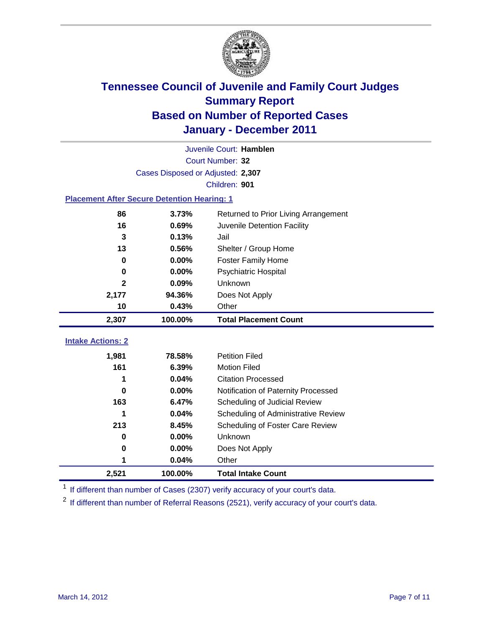

|                                                    | Juvenile Court: Hamblen              |                                     |  |  |  |  |
|----------------------------------------------------|--------------------------------------|-------------------------------------|--|--|--|--|
|                                                    | Court Number: 32                     |                                     |  |  |  |  |
|                                                    | Cases Disposed or Adjusted: 2,307    |                                     |  |  |  |  |
|                                                    | Children: 901                        |                                     |  |  |  |  |
| <b>Placement After Secure Detention Hearing: 1</b> |                                      |                                     |  |  |  |  |
| 86                                                 | Returned to Prior Living Arrangement |                                     |  |  |  |  |
| 16                                                 | 0.69%                                | Juvenile Detention Facility         |  |  |  |  |
| 3                                                  | 0.13%                                | Jail                                |  |  |  |  |
| 13                                                 | 0.56%                                | Shelter / Group Home                |  |  |  |  |
| $\bf{0}$                                           | 0.00%                                | <b>Foster Family Home</b>           |  |  |  |  |
| 0                                                  | 0.00%                                | Psychiatric Hospital                |  |  |  |  |
| $\mathbf{2}$                                       | 0.09%                                | Unknown                             |  |  |  |  |
| 2,177                                              | 94.36%                               | Does Not Apply                      |  |  |  |  |
| 10                                                 | 0.43%                                | Other                               |  |  |  |  |
| 2,307                                              | 100.00%                              | <b>Total Placement Count</b>        |  |  |  |  |
| <b>Intake Actions: 2</b>                           |                                      |                                     |  |  |  |  |
|                                                    |                                      |                                     |  |  |  |  |
| 1,981                                              | 78.58%                               | <b>Petition Filed</b>               |  |  |  |  |
| 161                                                | 6.39%                                | <b>Motion Filed</b>                 |  |  |  |  |
| 1                                                  | 0.04%                                | <b>Citation Processed</b>           |  |  |  |  |
| 0                                                  | 0.00%                                | Notification of Paternity Processed |  |  |  |  |
| 163                                                | 6.47%                                | Scheduling of Judicial Review       |  |  |  |  |
| 1                                                  | 0.04%                                | Scheduling of Administrative Review |  |  |  |  |
| 213                                                | 8.45%                                | Scheduling of Foster Care Review    |  |  |  |  |
| 0                                                  | 0.00%                                | Unknown                             |  |  |  |  |
| 0                                                  | 0.00%                                | Does Not Apply                      |  |  |  |  |
| 1                                                  | 0.04%                                | Other                               |  |  |  |  |
| 2,521                                              | 100.00%                              | <b>Total Intake Count</b>           |  |  |  |  |

<sup>1</sup> If different than number of Cases (2307) verify accuracy of your court's data.

<sup>2</sup> If different than number of Referral Reasons (2521), verify accuracy of your court's data.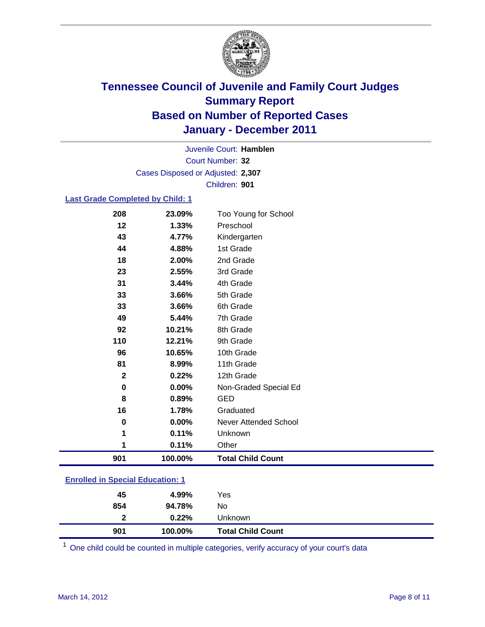

Court Number: **32** Juvenile Court: **Hamblen** Cases Disposed or Adjusted: **2,307** Children: **901**

### **Last Grade Completed by Child: 1**

| 208                                     | 23.09%  | Too Young for School         |  |
|-----------------------------------------|---------|------------------------------|--|
| 12                                      | 1.33%   | Preschool                    |  |
| 43                                      | 4.77%   | Kindergarten                 |  |
| 44                                      | 4.88%   | 1st Grade                    |  |
| 18                                      | 2.00%   | 2nd Grade                    |  |
| 23                                      | 2.55%   | 3rd Grade                    |  |
| 31                                      | 3.44%   | 4th Grade                    |  |
| 33                                      | 3.66%   | 5th Grade                    |  |
| 33                                      | 3.66%   | 6th Grade                    |  |
| 49                                      | 5.44%   | 7th Grade                    |  |
| 92                                      | 10.21%  | 8th Grade                    |  |
| 110                                     | 12.21%  | 9th Grade                    |  |
| 96                                      | 10.65%  | 10th Grade                   |  |
| 81                                      | 8.99%   | 11th Grade                   |  |
| $\mathbf 2$                             | 0.22%   | 12th Grade                   |  |
| 0                                       | 0.00%   | Non-Graded Special Ed        |  |
| 8                                       | 0.89%   | <b>GED</b>                   |  |
| 16                                      | 1.78%   | Graduated                    |  |
| 0                                       | 0.00%   | <b>Never Attended School</b> |  |
| 1                                       | 0.11%   | Unknown                      |  |
| 1                                       | 0.11%   | Other                        |  |
| 901                                     | 100.00% | <b>Total Child Count</b>     |  |
| <b>Enrolled in Special Education: 1</b> |         |                              |  |

| 901 | 100.00% | <b>Total Child Count</b> |
|-----|---------|--------------------------|
| 2   | 0.22%   | Unknown                  |
| 854 | 94.78%  | No.                      |
| 45  | 4.99%   | Yes                      |
|     |         |                          |

One child could be counted in multiple categories, verify accuracy of your court's data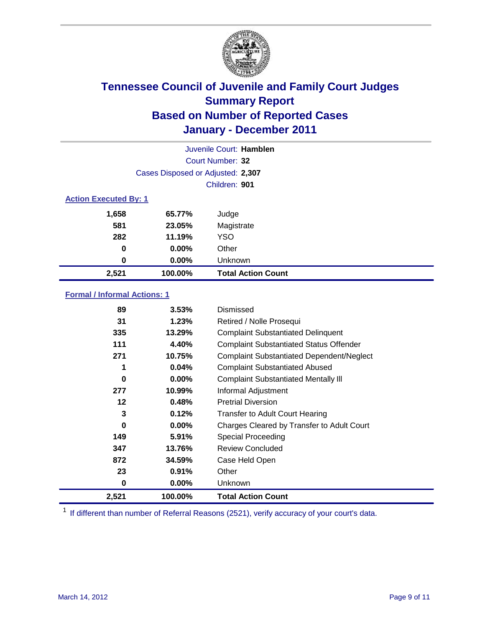

|                  | Juvenile Court: Hamblen           |                           |  |  |  |
|------------------|-----------------------------------|---------------------------|--|--|--|
| Court Number: 32 |                                   |                           |  |  |  |
|                  | Cases Disposed or Adjusted: 2,307 |                           |  |  |  |
|                  | Children: 901                     |                           |  |  |  |
|                  | <b>Action Executed By: 1</b>      |                           |  |  |  |
| 1,658            | 65.77%                            | Judge                     |  |  |  |
| 581              | 23.05%                            | Magistrate                |  |  |  |
| 282              | 11.19%                            | <b>YSO</b>                |  |  |  |
| 0                | $0.00\%$                          | Other                     |  |  |  |
| 0                | $0.00\%$                          | Unknown                   |  |  |  |
| 2,521            | 100.00%                           | <b>Total Action Count</b> |  |  |  |

### **Formal / Informal Actions: 1**

| 89    | 3.53%    | Dismissed                                        |
|-------|----------|--------------------------------------------------|
| 31    | 1.23%    | Retired / Nolle Prosequi                         |
| 335   | 13.29%   | <b>Complaint Substantiated Delinquent</b>        |
| 111   | 4.40%    | <b>Complaint Substantiated Status Offender</b>   |
| 271   | 10.75%   | <b>Complaint Substantiated Dependent/Neglect</b> |
| 1     | 0.04%    | <b>Complaint Substantiated Abused</b>            |
| 0     | $0.00\%$ | <b>Complaint Substantiated Mentally III</b>      |
| 277   | 10.99%   | Informal Adjustment                              |
| 12    | 0.48%    | <b>Pretrial Diversion</b>                        |
| 3     | 0.12%    | <b>Transfer to Adult Court Hearing</b>           |
| 0     | $0.00\%$ | Charges Cleared by Transfer to Adult Court       |
| 149   | 5.91%    | Special Proceeding                               |
| 347   | 13.76%   | <b>Review Concluded</b>                          |
| 872   | 34.59%   | Case Held Open                                   |
| 23    | 0.91%    | Other                                            |
| 0     | $0.00\%$ | <b>Unknown</b>                                   |
| 2,521 | 100.00%  | <b>Total Action Count</b>                        |

<sup>1</sup> If different than number of Referral Reasons (2521), verify accuracy of your court's data.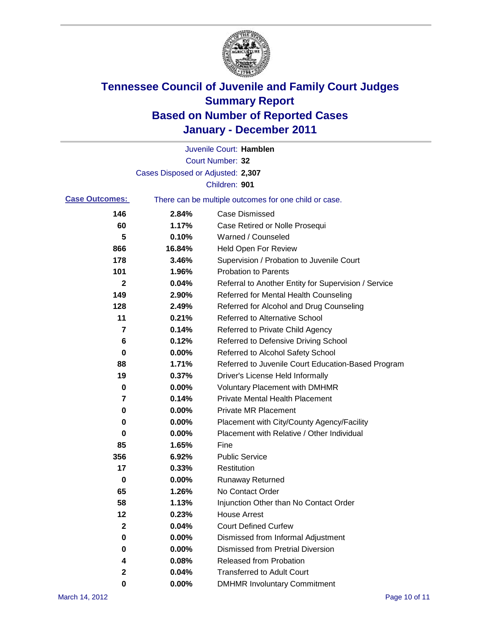

|                       |                                   | Juvenile Court: Hamblen                               |
|-----------------------|-----------------------------------|-------------------------------------------------------|
|                       |                                   | Court Number: 32                                      |
|                       | Cases Disposed or Adjusted: 2,307 |                                                       |
|                       |                                   | Children: 901                                         |
| <b>Case Outcomes:</b> |                                   | There can be multiple outcomes for one child or case. |
| 146                   | 2.84%                             | <b>Case Dismissed</b>                                 |
| 60                    | 1.17%                             | Case Retired or Nolle Prosequi                        |
| 5                     | 0.10%                             | Warned / Counseled                                    |
| 866                   | 16.84%                            | Held Open For Review                                  |
| 178                   | 3.46%                             | Supervision / Probation to Juvenile Court             |
| 101                   | 1.96%                             | <b>Probation to Parents</b>                           |
| 2                     | 0.04%                             | Referral to Another Entity for Supervision / Service  |
| 149                   | 2.90%                             | Referred for Mental Health Counseling                 |
| 128                   | 2.49%                             | Referred for Alcohol and Drug Counseling              |
| 11                    | 0.21%                             | <b>Referred to Alternative School</b>                 |
| 7                     | 0.14%                             | Referred to Private Child Agency                      |
| 6                     | 0.12%                             | Referred to Defensive Driving School                  |
| 0                     | 0.00%                             | Referred to Alcohol Safety School                     |
| 88                    | 1.71%                             | Referred to Juvenile Court Education-Based Program    |
| 19                    | 0.37%                             | Driver's License Held Informally                      |
| 0                     | 0.00%                             | <b>Voluntary Placement with DMHMR</b>                 |
| 7                     | 0.14%                             | <b>Private Mental Health Placement</b>                |
| 0                     | 0.00%                             | <b>Private MR Placement</b>                           |
| 0                     | 0.00%                             | Placement with City/County Agency/Facility            |
| 0                     | 0.00%                             | Placement with Relative / Other Individual            |
| 85                    | 1.65%                             | Fine                                                  |
| 356                   | 6.92%                             | <b>Public Service</b>                                 |
| 17                    | 0.33%                             | Restitution                                           |
| 0                     | 0.00%                             | <b>Runaway Returned</b>                               |
| 65                    | 1.26%                             | No Contact Order                                      |
| 58                    | 1.13%                             | Injunction Other than No Contact Order                |
| 12                    | 0.23%                             | <b>House Arrest</b>                                   |
| $\mathbf{2}$          | 0.04%                             | <b>Court Defined Curfew</b>                           |
| 0                     | 0.00%                             | Dismissed from Informal Adjustment                    |
| 0                     | 0.00%                             | <b>Dismissed from Pretrial Diversion</b>              |
| 4                     | 0.08%                             | <b>Released from Probation</b>                        |
| $\boldsymbol{2}$      | 0.04%                             | <b>Transferred to Adult Court</b>                     |
| 0                     | $0.00\%$                          | <b>DMHMR Involuntary Commitment</b>                   |